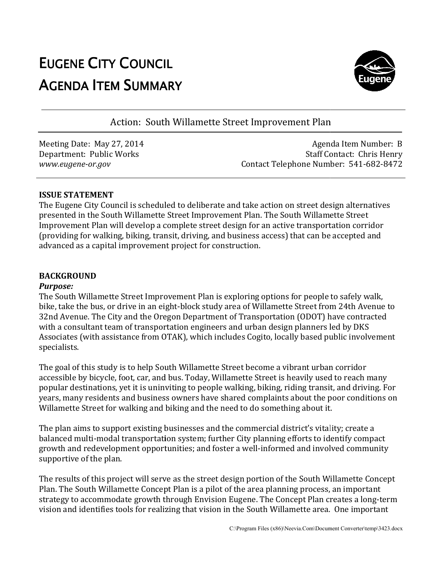# EUGENE CITY COUNCIL AGENDA ITEM SUMMARY



Action: South Willamette Street Improvement Plan

Meeting Date: May 27, 2014 Department: Public Works *www.eugene-or.gov*

Agenda Item Number: B Staff Contact: Contact: Chris Henry Contact Telephone Number: 541-682-8472

# **ISSUE STATEMENT**

The Eugene City Council is scheduled to deliberate and take action on street design alternatives presented in the South Willamette Street Improvement Plan South Plan. The South Willamette Street Improvement Plan will develop a complete street design for an active transportation corridor Improvement Plan will develop a complete street design for an active transport:<br>(providing for walking, biking, transit, driving, and business access) that can be advanced as a capital improvement project for construction. street design alternativ<br>h Willamette Street<br>transportation corridor<br>aat can be accepted and

# **BACKGROUND**

# *Purpose:*

The South Willamette Street Improvement Plan is exploring options for people to safely walk, The South Willamette Street Improvement Plan is exploring options for people to safely walk,<br>bike, take the bus, or drive in an eight-block study area of Willamette Street from 24th Avenue to 32nd Avenue. The City and the Oregon Department of Transportation (ODOT) have contracted with a consultant team of transportation engineers and urban design planners led by DKS with a consultant team of transportation engineers and urban design planners led by DKS<br>Associates (with assistance from OTAK), which includes Cogito, locally based public involvement specialists. block study area of Willamette Street from 24th Avenue to<br>
Department of Transportation (ODOT) have contracted<br>
on engineers and urban design planners led by DKS<br>
K), which includes Cogito, locally based public involvement

The goal of this study is to help South Willamette Street become a vibrant urban corridor accessible by bicycle, foot, car, and bus. Today, Willamette Street is heavily used to reach many accessible by bicycle, foot, car, and bus. Today, Willamette Street is heavily used t<br>popular destinations, yet it is uninviting to people walking, biking, riding transit, years, many residents and business owners have shared complaints about the poor conditions on Willamette Street for walking and biking and the need to do something about it. years, many residents and business owners have shared complaints about the poor conditio<br>Willamette Street for walking and biking and the need to do something about it.<br>The plan aims to support existing businesses and the

balanced multi-modal transportation system; further City planning efforts to identify compact growth and redevelopment opportunities; and foster a well-informed and involved community supportive of the plan. The plan aims to support existing businesses and the commercial district's vitality; create a<br>balanced multi-modal transportation system; further City planning efforts to identify compact<br>growth and redevelopment opportuni

The results of this project will serve as the street design portion of the South Willamette Concept Plan. The South Willamette Concept Plan is a pilot of the area planning process, an important vision and identifies tools for realizing that vision in the South Willamette area. One important of this project will serve as the street design portion of the South Willamette Cor<br>)uth Willamette Concept Plan is a pilot of the area planning process, an importan<br>accommodate growth through Envision Eugene. The Concept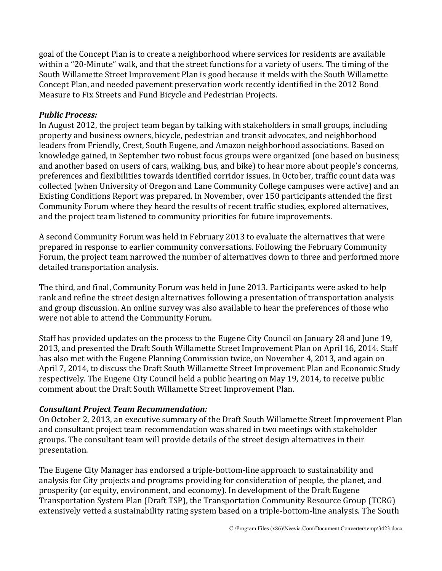goal of the Concept Plan is to create a neighborhood where services for residents are available within a "20-Minute" walk, and that the street functions for a variety of users. The timing of the South Willamette Street Improvement Plan is good because it melds with the South Willamette Concept Plan, and needed pavement preservation work recently identified in the 2012 Bond Measure to Fix Streets and Fund Bicycle and Pedestrian Projects.

# *Public Process:*

In August 2012, the project team began by talking with stakeholders in small groups, including property and business owners, bicycle, pedestrian and transit advocates, and neighborhood leaders from Friendly, Crest, South Eugene, and Amazon neighborhood associations. Based on knowledge gained, in September two robust focus groups were organized (one based on business; and another based on users of cars, walking, bus, and bike) to hear more about people's concerns, preferences and flexibilities towards identified corridor issues. In October, traffic count data was collected (when University of Oregon and Lane Community College campuses were active) and an Existing Conditions Report was prepared. In November, over 150 participants attended the first Community Forum where they heard the results of recent traffic studies, explored alternatives, and the project team listened to community priorities for future improvements.

A second Community Forum was held in February 2013 to evaluate the alternatives that were prepared in response to earlier community conversations. Following the February Community Forum, the project team narrowed the number of alternatives down to three and performed more detailed transportation analysis.

The third, and final, Community Forum was held in June 2013. Participants were asked to help rank and refine the street design alternatives following a presentation of transportation analysis and group discussion. An online survey was also available to hear the preferences of those who were not able to attend the Community Forum.

Staff has provided updates on the process to the Eugene City Council on January 28 and June 19, 2013, and presented the Draft South Willamette Street Improvement Plan on April 16, 2014. Staff has also met with the Eugene Planning Commission twice, on November 4, 2013, and again on April 7, 2014, to discuss the Draft South Willamette Street Improvement Plan and Economic Study respectively. The Eugene City Council held a public hearing on May 19, 2014, to receive public comment about the Draft South Willamette Street Improvement Plan.

# *Consultant Project Team Recommendation:*

On October 2, 2013, an executive summary of the Draft South Willamette Street Improvement Plan and consultant project team recommendation was shared in two meetings with stakeholder groups. The consultant team will provide details of the street design alternatives in their presentation.

The Eugene City Manager has endorsed a triple-bottom-line approach to sustainability and analysis for City projects and programs providing for consideration of people, the planet, and prosperity (or equity, environment, and economy). In development of the Draft Eugene Transportation System Plan (Draft TSP), the Transportation Community Resource Group (TCRG) extensively vetted a sustainability rating system based on a triple-bottom-line analysis. The South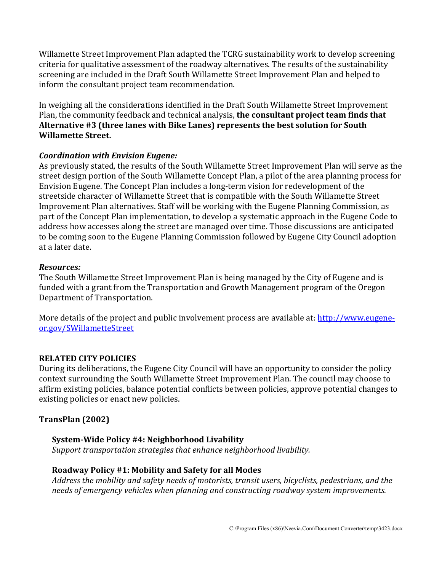Willamette Street Improvement Plan adapted the TCRG sustainability work to develop screening criteria for qualitative assessment of the roadway alternatives. The results of the sustainability screening are included in the Draft South Willamette Street Improvement Plan and helped to inform the consultant project team recommendation.

In weighing all the considerations identified in the Draft South Willamette Street Improvement Plan, the community feedback and technical analysis, **the consultant project team finds that Alternative #3 (three lanes with Bike Lanes) represents the best solution for South Willamette Street.**

# *Coordination with Envision Eugene:*

As previously stated, the results of the South Willamette Street Improvement Plan will serve as the street design portion of the South Willamette Concept Plan, a pilot of the area planning process for Envision Eugene. The Concept Plan includes a long-term vision for redevelopment of the streetside character of Willamette Street that is compatible with the South Willamette Street Improvement Plan alternatives. Staff will be working with the Eugene Planning Commission, as part of the Concept Plan implementation, to develop a systematic approach in the Eugene Code to address how accesses along the street are managed over time. Those discussions are anticipated to be coming soon to the Eugene Planning Commission followed by Eugene City Council adoption at a later date.

#### *Resources:*

The South Willamette Street Improvement Plan is being managed by the City of Eugene and is funded with a grant from the Transportation and Growth Management program of the Oregon Department of Transportation.

More details of the project and public involvement process are available at: [http://www.eugene](http://www.eugene-or.gov/SWillametteStreet)[or.gov/SWillametteStreet](http://www.eugene-or.gov/SWillametteStreet)

# **RELATED CITY POLICIES**

During its deliberations, the Eugene City Council will have an opportunity to consider the policy context surrounding the South Willamette Street Improvement Plan. The council may choose to affirm existing policies, balance potential conflicts between policies, approve potential changes to existing policies or enact new policies.

# **TransPlan (2002)**

# **System-Wide Policy #4: Neighborhood Livability**

*Support transportation strategies that enhance neighborhood livability.*

# **Roadway Policy #1: Mobility and Safety for all Modes**

*Address the mobility and safety needs of motorists, transit users, bicyclists, pedestrians, and the needs of emergency vehicles when planning and constructing roadway system improvements.*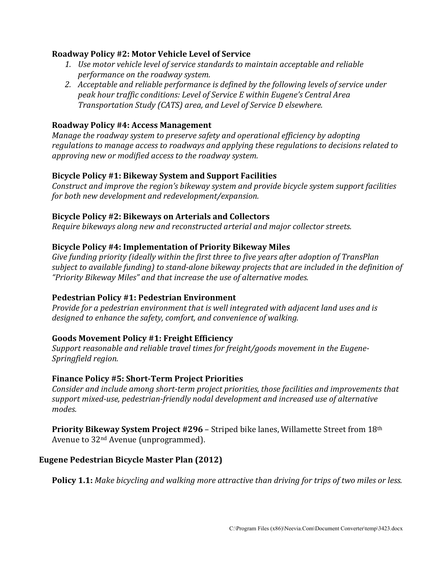## **Roadway Policy #2: Motor Vehicle Level of Service**

- *1. Use motor vehicle level of service standards to maintain acceptable and reliable performance on the roadway system.*
- *2. Acceptable and reliable performance is defined by the following levels of service under peak hour traffic conditions: Level of Service E within Eugene's Central Area Transportation Study (CATS) area, and Level of Service D elsewhere.*

# **Roadway Policy #4: Access Management**

*Manage the roadway system to preserve safety and operational efficiency by adopting regulations to manage access to roadways and applying these regulations to decisions related to approving new or modified access to the roadway system.*

### **Bicycle Policy #1: Bikeway System and Support Facilities**

*Construct and improve the region's bikeway system and provide bicycle system support facilities for both new development and redevelopment/expansion.*

#### **Bicycle Policy #2: Bikeways on Arterials and Collectors**

*Require bikeways along new and reconstructed arterial and major collector streets.*

### **Bicycle Policy #4: Implementation of Priority Bikeway Miles**

*Give funding priority (ideally within the first three to five years after adoption of TransPlan subject to available funding) to stand-alone bikeway projects that are included in the definition of "Priority Bikeway Miles" and that increase the use of alternative modes.* 

#### **Pedestrian Policy #1: Pedestrian Environment**

*Provide for a pedestrian environment that is well integrated with adjacent land uses and is designed to enhance the safety, comfort, and convenience of walking.*

#### **Goods Movement Policy #1: Freight Efficiency**

*Support reasonable and reliable travel times for freight/goods movement in the Eugene-Springfield region.* 

#### **Finance Policy #5: Short-Term Project Priorities**

*Consider and include among short-term project priorities, those facilities and improvements that support mixed-use, pedestrian-friendly nodal development and increased use of alternative modes.*

**Priority Bikeway System Project #296** – Striped bike lanes, Willamette Street from 18th Avenue to 32nd Avenue (unprogrammed).

# **Eugene Pedestrian Bicycle Master Plan (2012)**

**Policy 1.1:** *Make bicycling and walking more attractive than driving for trips of two miles or less.*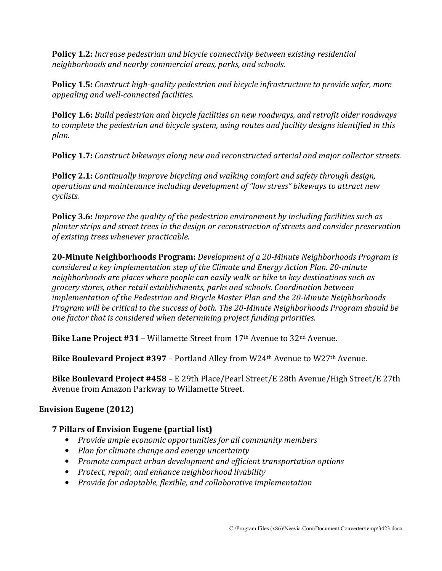**Policy 1.2:** *Increase pedestrian and bicycle connectivity between existing residential neighborhoods and nearby commercial areas, parks, and schools.* 

**Policy 1.5:** *Construct high-quality pedestrian and bicycle infrastructure to provide safer, more appealing and well-connected facilities.* 

**Policy 1.6:** *Build pedestrian and bicycle facilities on new roadways, and retrofit older roadways to complete the pedestrian and bicycle system, using routes and facility designs identified in this plan.* 

**Policy 1.7:** *Construct bikeways along new and reconstructed arterial and major collector streets.* 

**Policy 2.1:** *Continually improve bicycling and walking comfort and safety through design, operations and maintenance including development of "low stress" bikeways to attract new cyclists.* 

**Policy 3.6:** *Improve the quality of the pedestrian environment by including facilities such as planter strips and street trees in the design or reconstruction of streets and consider preservation of existing trees whenever practicable.* 

**20-Minute Neighborhoods Program:** *Development of a 20-Minute Neighborhoods Program is considered a key implementation step of the Climate and Energy Action Plan. 20-minute neighborhoods are places where people can easily walk or bike to key destinations such as grocery stores, other retail establishments, parks and schools. Coordination between implementation of the Pedestrian and Bicycle Master Plan and the 20-Minute Neighborhoods Program will be critical to the success of both. The 20-Minute Neighborhoods Program should be one factor that is considered when determining project funding priorities.* 

**Bike Lane Project #31** – Willamette Street from 17th Avenue to 32nd Avenue.

**Bike Boulevard Project #397** – Portland Alley from W24th Avenue to W27th Avenue.

**Bike Boulevard Project #458** – E 29th Place/Pearl Street/E 28th Avenue/High Street/E 27th Avenue from Amazon Parkway to Willamette Street.

# **Envision Eugene (2012)**

# **7 Pillars of Envision Eugene (partial list)**

- *Provide ample economic opportunities for all community members*
- *Plan for climate change and energy uncertainty*
- *Promote compact urban development and efficient transportation options*
- *Protect, repair, and enhance neighborhood livability*
- *Provide for adaptable, flexible, and collaborative implementation*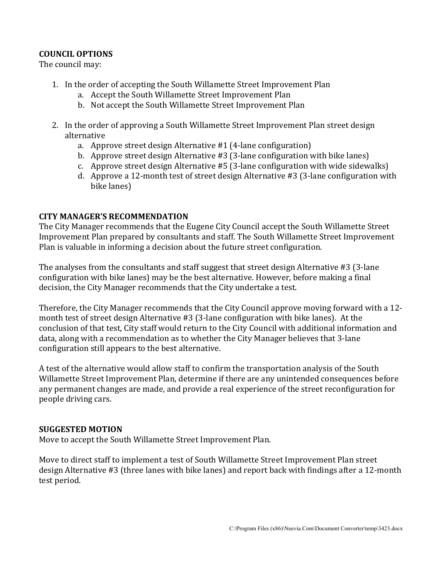# **COUNCIL OPTIONS**

The council may:

- 1. In the order of accepting the South Willamette Street Improvement Plan
	- a. Accept the South Willamette Street Improvement Plan
	- b. Not accept the South Willamette Street Improvement Plan
- 2. In the order of approving a South Willamette Street Improvement Plan street design alternative
	- a. Approve street design Alternative #1 (4-lane configuration)
	- b. Approve street design Alternative #3 (3-lane configuration with bike lanes)
	- c. Approve street design Alternative #5 (3-lane configuration with wide sidewalks)
	- d. Approve a 12-month test of street design Alternative #3 (3-lane configuration with bike lanes)

#### **CITY MANAGER'S RECOMMENDATION**

The City Manager recommends that the Eugene City Council accept the South Willamette Street Improvement Plan prepared by consultants and staff. The South Willamette Street Improvement Plan is valuable in informing a decision about the future street configuration.

The analyses from the consultants and staff suggest that street design Alternative #3 (3-lane configuration with bike lanes) may be the best alternative. However, before making a final decision, the City Manager recommends that the City undertake a test.

Therefore, the City Manager recommends that the City Council approve moving forward with a 12 month test of street design Alternative #3 (3-lane configuration with bike lanes). At the conclusion of that test, City staff would return to the City Council with additional information and data, along with a recommendation as to whether the City Manager believes that 3-lane configuration still appears to the best alternative.

A test of the alternative would allow staff to confirm the transportation analysis of the South Willamette Street Improvement Plan, determine if there are any unintended consequences before any permanent changes are made, and provide a real experience of the street reconfiguration for people driving cars.

#### **SUGGESTED MOTION**

Move to accept the South Willamette Street Improvement Plan.

Move to direct staff to implement a test of South Willamette Street Improvement Plan street design Alternative #3 (three lanes with bike lanes) and report back with findings after a 12-month test period.